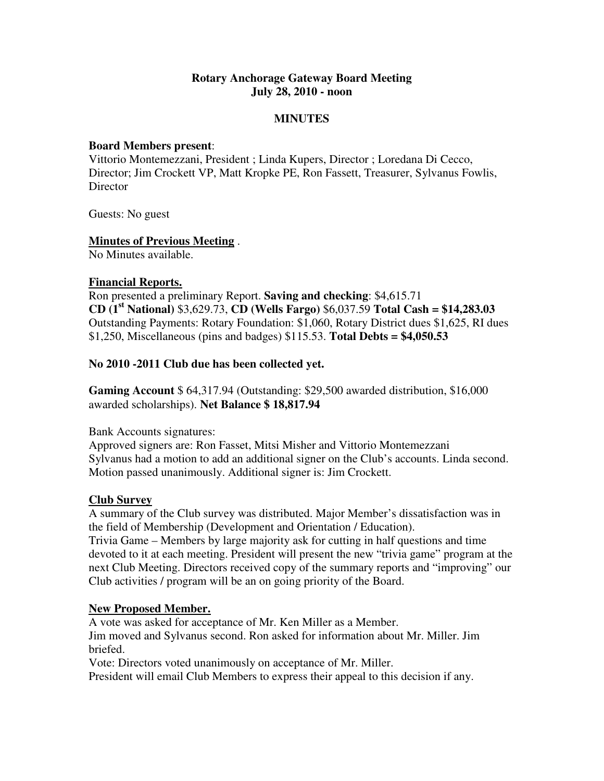### **Rotary Anchorage Gateway Board Meeting July 28, 2010 - noon**

### **MINUTES**

#### **Board Members present**:

Vittorio Montemezzani, President ; Linda Kupers, Director ; Loredana Di Cecco, Director; Jim Crockett VP, Matt Kropke PE, Ron Fassett, Treasurer, Sylvanus Fowlis, **Director** 

Guests: No guest

## **Minutes of Previous Meeting** .

No Minutes available.

#### **Financial Reports.**

Ron presented a preliminary Report. **Saving and checking**: \$4,615.71 **CD (1st National)** \$3,629.73, **CD (Wells Fargo)** \$6,037.59 **Total Cash = \$14,283.03** Outstanding Payments: Rotary Foundation: \$1,060, Rotary District dues \$1,625, RI dues \$1,250, Miscellaneous (pins and badges) \$115.53. **Total Debts = \$4,050.53** 

#### **No 2010 -2011 Club due has been collected yet.**

**Gaming Account** \$ 64,317.94 (Outstanding: \$29,500 awarded distribution, \$16,000 awarded scholarships). **Net Balance \$ 18,817.94** 

#### Bank Accounts signatures:

Approved signers are: Ron Fasset, Mitsi Misher and Vittorio Montemezzani Sylvanus had a motion to add an additional signer on the Club's accounts. Linda second. Motion passed unanimously. Additional signer is: Jim Crockett.

#### **Club Survey**

A summary of the Club survey was distributed. Major Member's dissatisfaction was in the field of Membership (Development and Orientation / Education).

Trivia Game – Members by large majority ask for cutting in half questions and time devoted to it at each meeting. President will present the new "trivia game" program at the next Club Meeting. Directors received copy of the summary reports and "improving" our Club activities / program will be an on going priority of the Board.

#### **New Proposed Member.**

A vote was asked for acceptance of Mr. Ken Miller as a Member. Jim moved and Sylvanus second. Ron asked for information about Mr. Miller. Jim briefed.

Vote: Directors voted unanimously on acceptance of Mr. Miller.

President will email Club Members to express their appeal to this decision if any.